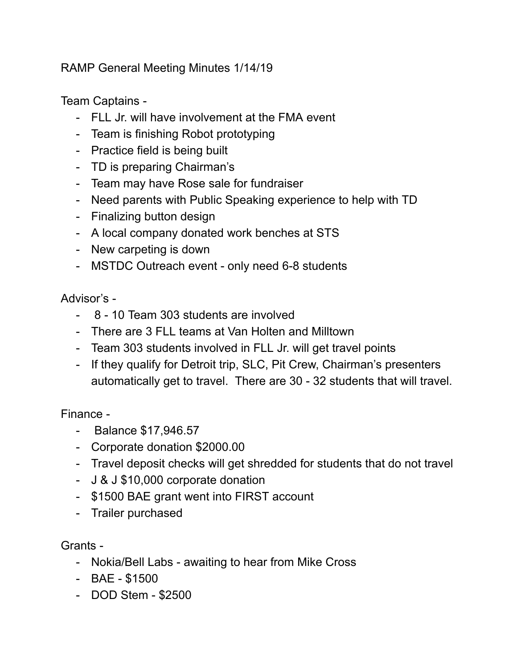RAMP General Meeting Minutes 1/14/19

Team Captains -

- FLL Jr. will have involvement at the FMA event
- Team is finishing Robot prototyping
- Practice field is being built
- TD is preparing Chairman's
- Team may have Rose sale for fundraiser
- Need parents with Public Speaking experience to help with TD
- Finalizing button design
- A local company donated work benches at STS
- New carpeting is down
- MSTDC Outreach event only need 6-8 students

Advisor's -

- 8 10 Team 303 students are involved
- There are 3 FLL teams at Van Holten and Milltown
- Team 303 students involved in FLL Jr. will get travel points
- If they qualify for Detroit trip, SLC, Pit Crew, Chairman's presenters automatically get to travel. There are 30 - 32 students that will travel.

Finance -

- Balance \$17,946.57
- Corporate donation \$2000.00
- Travel deposit checks will get shredded for students that do not travel
- J & J \$10,000 corporate donation
- \$1500 BAE grant went into FIRST account
- Trailer purchased

Grants -

- Nokia/Bell Labs awaiting to hear from Mike Cross
- BAE \$1500
- DOD Stem \$2500